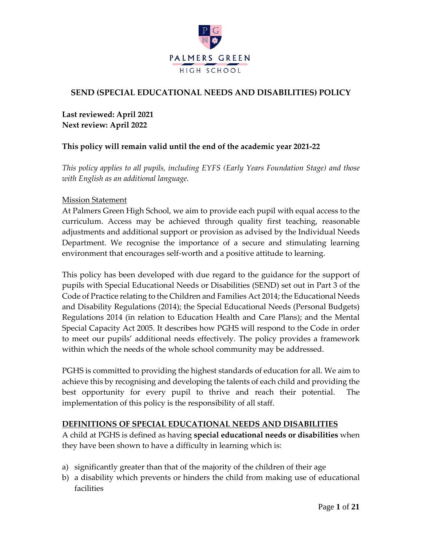

#### **SEND (SPECIAL EDUCATIONAL NEEDS AND DISABILITIES) POLICY**

**Last reviewed: April 2021 Next review: April 2022**

#### **This policy will remain valid until the end of the academic year 2021-22**

*This policy applies to all pupils, including EYFS (Early Years Foundation Stage) and those with English as an additional language.*

#### Mission Statement

At Palmers Green High School, we aim to provide each pupil with equal access to the curriculum. Access may be achieved through quality first teaching, reasonable adjustments and additional support or provision as advised by the Individual Needs Department. We recognise the importance of a secure and stimulating learning environment that encourages self-worth and a positive attitude to learning.

This policy has been developed with due regard to the guidance for the support of pupils with Special Educational Needs or Disabilities (SEND) set out in Part 3 of the Code of Practice relating to the Children and Families Act 2014; the Educational Needs and Disability Regulations (2014); the Special Educational Needs (Personal Budgets) Regulations 2014 (in relation to Education Health and Care Plans); and the Mental Special Capacity Act 2005. It describes how PGHS will respond to the Code in order to meet our pupils' additional needs effectively. The policy provides a framework within which the needs of the whole school community may be addressed.

PGHS is committed to providing the highest standards of education for all. We aim to achieve this by recognising and developing the talents of each child and providing the best opportunity for every pupil to thrive and reach their potential. The implementation of this policy is the responsibility of all staff.

#### **DEFINITIONS OF SPECIAL EDUCATIONAL NEEDS AND DISABILITIES**

A child at PGHS is defined as having **special educational needs or disabilities** when they have been shown to have a difficulty in learning which is:

- a) significantly greater than that of the majority of the children of their age
- b) a disability which prevents or hinders the child from making use of educational facilities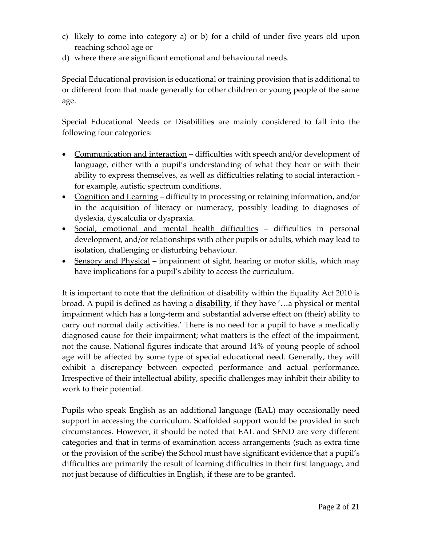- c) likely to come into category a) or b) for a child of under five years old upon reaching school age or
- d) where there are significant emotional and behavioural needs.

Special Educational provision is educational or training provision that is additional to or different from that made generally for other children or young people of the same age.

Special Educational Needs or Disabilities are mainly considered to fall into the following four categories:

- Communication and interaction difficulties with speech and/or development of language, either with a pupil's understanding of what they hear or with their ability to express themselves, as well as difficulties relating to social interaction for example, autistic spectrum conditions.
- Cognition and Learning difficulty in processing or retaining information, and/or in the acquisition of literacy or numeracy, possibly leading to diagnoses of dyslexia, dyscalculia or dyspraxia.
- Social, emotional and mental health difficulties difficulties in personal development, and/or relationships with other pupils or adults, which may lead to isolation, challenging or disturbing behaviour.
- Sensory and Physical impairment of sight, hearing or motor skills, which may have implications for a pupil's ability to access the curriculum.

It is important to note that the definition of disability within the Equality Act 2010 is broad. A pupil is defined as having a **disability**, if they have '…a physical or mental impairment which has a long-term and substantial adverse effect on (their) ability to carry out normal daily activities.' There is no need for a pupil to have a medically diagnosed cause for their impairment; what matters is the effect of the impairment, not the cause. National figures indicate that around 14% of young people of school age will be affected by some type of special educational need. Generally, they will exhibit a discrepancy between expected performance and actual performance. Irrespective of their intellectual ability, specific challenges may inhibit their ability to work to their potential.

Pupils who speak English as an additional language (EAL) may occasionally need support in accessing the curriculum. Scaffolded support would be provided in such circumstances. However, it should be noted that EAL and SEND are very different categories and that in terms of examination access arrangements (such as extra time or the provision of the scribe) the School must have significant evidence that a pupil's difficulties are primarily the result of learning difficulties in their first language, and not just because of difficulties in English, if these are to be granted.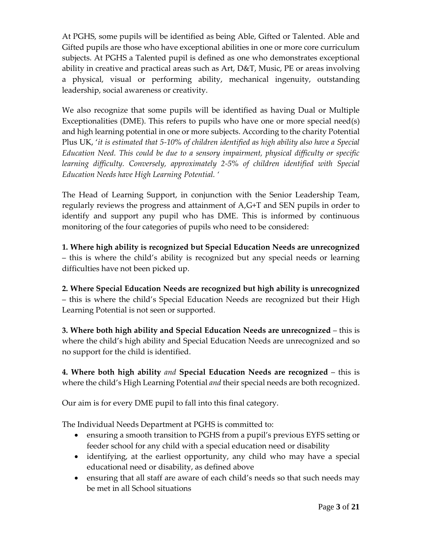At PGHS, some pupils will be identified as being Able, Gifted or Talented. Able and Gifted pupils are those who have exceptional abilities in one or more core curriculum subjects. At PGHS a Talented pupil is defined as one who demonstrates exceptional ability in creative and practical areas such as Art, D&T, Music, PE or areas involving a physical, visual or performing ability, mechanical ingenuity, outstanding leadership, social awareness or creativity.

We also recognize that some pupils will be identified as having Dual or Multiple Exceptionalities (DME). This refers to pupils who have one or more special need(s) and high learning potential in one or more subjects. According to the charity Potential Plus UK, '*it is estimated that 5-10% of children identified as high ability also have a Special Education Need. This could be due to a sensory impairment, physical difficulty or specific learning difficulty. Conversely, approximately 2-5% of children identified with Special Education Needs have High Learning Potential. '*

The Head of Learning Support, in conjunction with the Senior Leadership Team, regularly reviews the progress and attainment of A,G+T and SEN pupils in order to identify and support any pupil who has DME. This is informed by continuous monitoring of the four categories of pupils who need to be considered:

**1. Where high ability is recognized but Special Education Needs are unrecognized** – this is where the child's ability is recognized but any special needs or learning difficulties have not been picked up.

**2. Where Special Education Needs are recognized but high ability is unrecognized**  – this is where the child's Special Education Needs are recognized but their High Learning Potential is not seen or supported.

**3. Where both high ability and Special Education Needs are unrecognized** – this is where the child's high ability and Special Education Needs are unrecognized and so no support for the child is identified.

**4. Where both high ability** *and* **Special Education Needs are recognized** – this is where the child's High Learning Potential *and* their special needs are both recognized.

Our aim is for every DME pupil to fall into this final category.

The Individual Needs Department at PGHS is committed to:

- ensuring a smooth transition to PGHS from a pupil's previous EYFS setting or feeder school for any child with a special education need or disability
- identifying, at the earliest opportunity, any child who may have a special educational need or disability, as defined above
- ensuring that all staff are aware of each child's needs so that such needs may be met in all School situations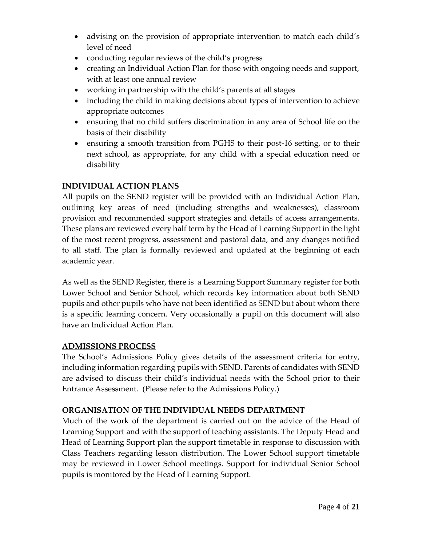- advising on the provision of appropriate intervention to match each child's level of need
- conducting regular reviews of the child's progress
- creating an Individual Action Plan for those with ongoing needs and support, with at least one annual review
- working in partnership with the child's parents at all stages
- including the child in making decisions about types of intervention to achieve appropriate outcomes
- ensuring that no child suffers discrimination in any area of School life on the basis of their disability
- ensuring a smooth transition from PGHS to their post-16 setting, or to their next school, as appropriate, for any child with a special education need or disability

### **INDIVIDUAL ACTION PLANS**

All pupils on the SEND register will be provided with an Individual Action Plan, outlining key areas of need (including strengths and weaknesses), classroom provision and recommended support strategies and details of access arrangements. These plans are reviewed every half term by the Head of Learning Support in the light of the most recent progress, assessment and pastoral data, and any changes notified to all staff. The plan is formally reviewed and updated at the beginning of each academic year.

As well as the SEND Register, there is a Learning Support Summary register for both Lower School and Senior School, which records key information about both SEND pupils and other pupils who have not been identified as SEND but about whom there is a specific learning concern. Very occasionally a pupil on this document will also have an Individual Action Plan.

#### **ADMISSIONS PROCESS**

The School's Admissions Policy gives details of the assessment criteria for entry, including information regarding pupils with SEND. Parents of candidates with SEND are advised to discuss their child's individual needs with the School prior to their Entrance Assessment. (Please refer to the Admissions Policy.)

#### **ORGANISATION OF THE INDIVIDUAL NEEDS DEPARTMENT**

Much of the work of the department is carried out on the advice of the Head of Learning Support and with the support of teaching assistants. The Deputy Head and Head of Learning Support plan the support timetable in response to discussion with Class Teachers regarding lesson distribution. The Lower School support timetable may be reviewed in Lower School meetings. Support for individual Senior School pupils is monitored by the Head of Learning Support.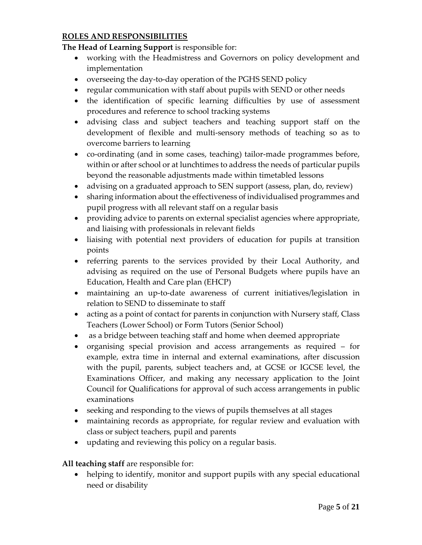#### **ROLES AND RESPONSIBILITIES**

#### **The Head of Learning Support** is responsible for:

- working with the Headmistress and Governors on policy development and implementation
- overseeing the day-to-day operation of the PGHS SEND policy
- regular communication with staff about pupils with SEND or other needs
- the identification of specific learning difficulties by use of assessment procedures and reference to school tracking systems
- advising class and subject teachers and teaching support staff on the development of flexible and multi-sensory methods of teaching so as to overcome barriers to learning
- co-ordinating (and in some cases, teaching) tailor-made programmes before, within or after school or at lunchtimes to address the needs of particular pupils beyond the reasonable adjustments made within timetabled lessons
- advising on a graduated approach to SEN support (assess, plan, do, review)
- sharing information about the effectiveness of individualised programmes and pupil progress with all relevant staff on a regular basis
- providing advice to parents on external specialist agencies where appropriate, and liaising with professionals in relevant fields
- liaising with potential next providers of education for pupils at transition points
- referring parents to the services provided by their Local Authority, and advising as required on the use of Personal Budgets where pupils have an Education, Health and Care plan (EHCP)
- maintaining an up-to-date awareness of current initiatives/legislation in relation to SEND to disseminate to staff
- acting as a point of contact for parents in conjunction with Nursery staff, Class Teachers (Lower School) or Form Tutors (Senior School)
- as a bridge between teaching staff and home when deemed appropriate
- organising special provision and access arrangements as required for example, extra time in internal and external examinations, after discussion with the pupil, parents, subject teachers and, at GCSE or IGCSE level, the Examinations Officer, and making any necessary application to the Joint Council for Qualifications for approval of such access arrangements in public examinations
- seeking and responding to the views of pupils themselves at all stages
- maintaining records as appropriate, for regular review and evaluation with class or subject teachers, pupil and parents
- updating and reviewing this policy on a regular basis.

#### **All teaching staff** are responsible for:

• helping to identify, monitor and support pupils with any special educational need or disability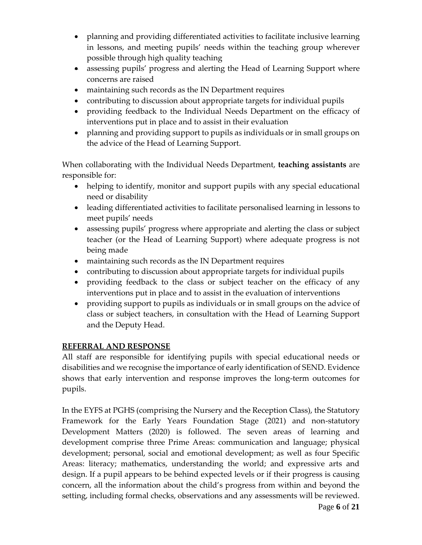- planning and providing differentiated activities to facilitate inclusive learning in lessons, and meeting pupils' needs within the teaching group wherever possible through high quality teaching
- assessing pupils' progress and alerting the Head of Learning Support where concerns are raised
- maintaining such records as the IN Department requires
- contributing to discussion about appropriate targets for individual pupils
- providing feedback to the Individual Needs Department on the efficacy of interventions put in place and to assist in their evaluation
- planning and providing support to pupils as individuals or in small groups on the advice of the Head of Learning Support.

When collaborating with the Individual Needs Department, **teaching assistants** are responsible for:

- helping to identify, monitor and support pupils with any special educational need or disability
- leading differentiated activities to facilitate personalised learning in lessons to meet pupils' needs
- assessing pupils' progress where appropriate and alerting the class or subject teacher (or the Head of Learning Support) where adequate progress is not being made
- maintaining such records as the IN Department requires
- contributing to discussion about appropriate targets for individual pupils
- providing feedback to the class or subject teacher on the efficacy of any interventions put in place and to assist in the evaluation of interventions
- providing support to pupils as individuals or in small groups on the advice of class or subject teachers, in consultation with the Head of Learning Support and the Deputy Head.

### **REFERRAL AND RESPONSE**

All staff are responsible for identifying pupils with special educational needs or disabilities and we recognise the importance of early identification of SEND. Evidence shows that early intervention and response improves the long‐term outcomes for pupils.

In the EYFS at PGHS (comprising the Nursery and the Reception Class), the Statutory Framework for the Early Years Foundation Stage (2021) and non-statutory Development Matters (2020) is followed. The seven areas of learning and development comprise three Prime Areas: communication and language; physical development; personal, social and emotional development; as well as four Specific Areas: literacy; mathematics, understanding the world; and expressive arts and design. If a pupil appears to be behind expected levels or if their progress is causing concern, all the information about the child's progress from within and beyond the setting, including formal checks, observations and any assessments will be reviewed.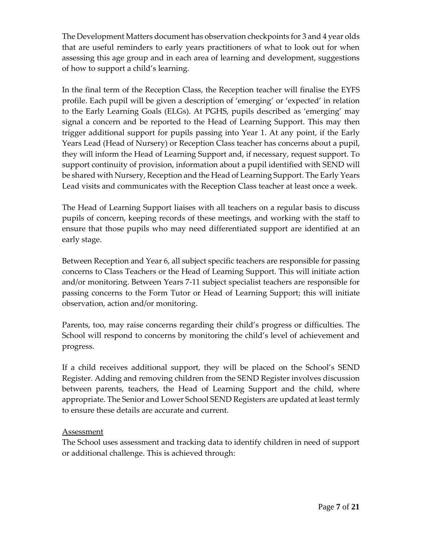The Development Matters document has observation checkpoints for 3 and 4 year olds that are useful reminders to early years practitioners of what to look out for when assessing this age group and in each area of learning and development, suggestions of how to support a child's learning.

In the final term of the Reception Class, the Reception teacher will finalise the EYFS profile. Each pupil will be given a description of 'emerging' or 'expected' in relation to the Early Learning Goals (ELGs). At PGHS, pupils described as 'emerging' may signal a concern and be reported to the Head of Learning Support. This may then trigger additional support for pupils passing into Year 1. At any point, if the Early Years Lead (Head of Nursery) or Reception Class teacher has concerns about a pupil, they will inform the Head of Learning Support and, if necessary, request support. To support continuity of provision, information about a pupil identified with SEND will be shared with Nursery, Reception and the Head of Learning Support. The Early Years Lead visits and communicates with the Reception Class teacher at least once a week.

The Head of Learning Support liaises with all teachers on a regular basis to discuss pupils of concern, keeping records of these meetings, and working with the staff to ensure that those pupils who may need differentiated support are identified at an early stage.

Between Reception and Year 6, all subject specific teachers are responsible for passing concerns to Class Teachers or the Head of Learning Support. This will initiate action and/or monitoring. Between Years 7-11 subject specialist teachers are responsible for passing concerns to the Form Tutor or Head of Learning Support; this will initiate observation, action and/or monitoring.

Parents, too, may raise concerns regarding their child's progress or difficulties. The School will respond to concerns by monitoring the child's level of achievement and progress.

If a child receives additional support, they will be placed on the School's SEND Register. Adding and removing children from the SEND Register involves discussion between parents, teachers, the Head of Learning Support and the child, where appropriate. The Senior and Lower School SEND Registers are updated at least termly to ensure these details are accurate and current.

#### Assessment

The School uses assessment and tracking data to identify children in need of support or additional challenge. This is achieved through: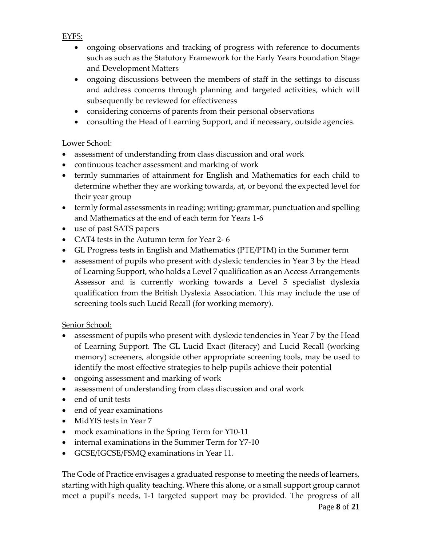EYFS:

- ongoing observations and tracking of progress with reference to documents such as such as the Statutory Framework for the Early Years Foundation Stage and Development Matters
- ongoing discussions between the members of staff in the settings to discuss and address concerns through planning and targeted activities, which will subsequently be reviewed for effectiveness
- considering concerns of parents from their personal observations
- consulting the Head of Learning Support, and if necessary, outside agencies.

#### Lower School:

- assessment of understanding from class discussion and oral work
- continuous teacher assessment and marking of work
- termly summaries of attainment for English and Mathematics for each child to determine whether they are working towards, at, or beyond the expected level for their year group
- termly formal assessments in reading; writing; grammar, punctuation and spelling and Mathematics at the end of each term for Years 1-6
- use of past SATS papers
- CAT4 tests in the Autumn term for Year 2- 6
- GL Progress tests in English and Mathematics (PTE/PTM) in the Summer term
- assessment of pupils who present with dyslexic tendencies in Year 3 by the Head of Learning Support, who holds a Level 7 qualification as an Access Arrangements Assessor and is currently working towards a Level 5 specialist dyslexia qualification from the British Dyslexia Association. This may include the use of screening tools such Lucid Recall (for working memory).

#### Senior School:

- assessment of pupils who present with dyslexic tendencies in Year 7 by the Head of Learning Support. The GL Lucid Exact (literacy) and Lucid Recall (working memory) screeners, alongside other appropriate screening tools, may be used to identify the most effective strategies to help pupils achieve their potential
- ongoing assessment and marking of work
- assessment of understanding from class discussion and oral work
- end of unit tests
- end of year examinations
- MidYIS tests in Year 7
- mock examinations in the Spring Term for Y10-11
- internal examinations in the Summer Term for Y7-10
- GCSE/IGCSE/FSMQ examinations in Year 11.

Page **8** of **21** The Code of Practice envisages a graduated response to meeting the needs of learners, starting with high quality teaching. Where this alone, or a small support group cannot meet a pupil's needs, 1-1 targeted support may be provided. The progress of all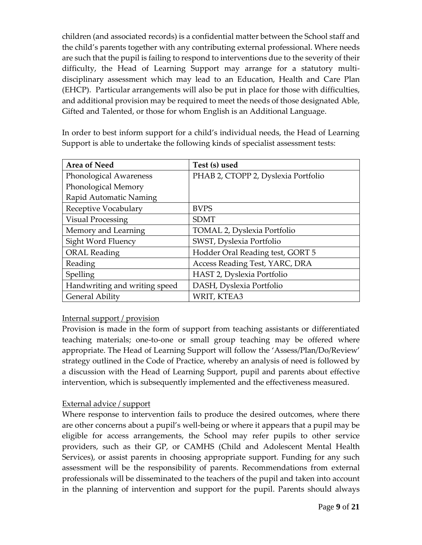children (and associated records) is a confidential matter between the School staff and the child's parents together with any contributing external professional. Where needs are such that the pupil is failing to respond to interventions due to the severity of their difficulty, the Head of Learning Support may arrange for a statutory multidisciplinary assessment which may lead to an Education, Health and Care Plan (EHCP). Particular arrangements will also be put in place for those with difficulties, and additional provision may be required to meet the needs of those designated Able, Gifted and Talented, or those for whom English is an Additional Language.

In order to best inform support for a child's individual needs, the Head of Learning Support is able to undertake the following kinds of specialist assessment tests:

| <b>Area of Need</b>           | Test (s) used                       |
|-------------------------------|-------------------------------------|
| Phonological Awareness        | PHAB 2, CTOPP 2, Dyslexia Portfolio |
| Phonological Memory           |                                     |
| Rapid Automatic Naming        |                                     |
| Receptive Vocabulary          | <b>BVPS</b>                         |
| <b>Visual Processing</b>      | <b>SDMT</b>                         |
| Memory and Learning           | TOMAL 2, Dyslexia Portfolio         |
| Sight Word Fluency            | SWST, Dyslexia Portfolio            |
| <b>ORAL Reading</b>           | Hodder Oral Reading test, GORT 5    |
| Reading                       | Access Reading Test, YARC, DRA      |
| Spelling                      | HAST 2, Dyslexia Portfolio          |
| Handwriting and writing speed | DASH, Dyslexia Portfolio            |
| <b>General Ability</b>        | WRIT, KTEA3                         |

#### Internal support / provision

Provision is made in the form of support from teaching assistants or differentiated teaching materials; one-to-one or small group teaching may be offered where appropriate. The Head of Learning Support will follow the 'Assess/Plan/Do/Review' strategy outlined in the Code of Practice, whereby an analysis of need is followed by a discussion with the Head of Learning Support, pupil and parents about effective intervention, which is subsequently implemented and the effectiveness measured.

#### External advice / support

Where response to intervention fails to produce the desired outcomes, where there are other concerns about a pupil's well-being or where it appears that a pupil may be eligible for access arrangements, the School may refer pupils to other service providers, such as their GP, or CAMHS (Child and Adolescent Mental Health Services), or assist parents in choosing appropriate support. Funding for any such assessment will be the responsibility of parents. Recommendations from external professionals will be disseminated to the teachers of the pupil and taken into account in the planning of intervention and support for the pupil. Parents should always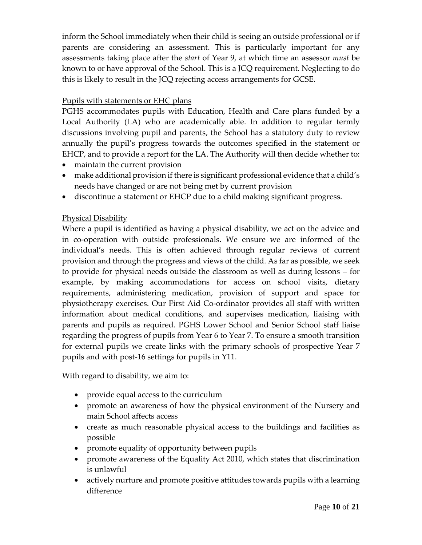inform the School immediately when their child is seeing an outside professional or if parents are considering an assessment. This is particularly important for any assessments taking place after the *start* of Year 9, at which time an assessor *must* be known to or have approval of the School. This is a JCQ requirement. Neglecting to do this is likely to result in the JCQ rejecting access arrangements for GCSE.

#### Pupils with statements or EHC plans

PGHS accommodates pupils with Education, Health and Care plans funded by a Local Authority (LA) who are academically able. In addition to regular termly discussions involving pupil and parents, the School has a statutory duty to review annually the pupil's progress towards the outcomes specified in the statement or EHCP, and to provide a report for the LA. The Authority will then decide whether to:

- maintain the current provision
- make additional provision if there is significant professional evidence that a child's needs have changed or are not being met by current provision
- discontinue a statement or EHCP due to a child making significant progress.

#### Physical Disability

Where a pupil is identified as having a physical disability, we act on the advice and in co-operation with outside professionals. We ensure we are informed of the individual's needs. This is often achieved through regular reviews of current provision and through the progress and views of the child. As far as possible, we seek to provide for physical needs outside the classroom as well as during lessons – for example, by making accommodations for access on school visits, dietary requirements, administering medication, provision of support and space for physiotherapy exercises. Our First Aid Co-ordinator provides all staff with written information about medical conditions, and supervises medication, liaising with parents and pupils as required. PGHS Lower School and Senior School staff liaise regarding the progress of pupils from Year 6 to Year 7. To ensure a smooth transition for external pupils we create links with the primary schools of prospective Year 7 pupils and with post-16 settings for pupils in Y11.

With regard to disability, we aim to:

- provide equal access to the curriculum
- promote an awareness of how the physical environment of the Nursery and main School affects access
- create as much reasonable physical access to the buildings and facilities as possible
- promote equality of opportunity between pupils
- promote awareness of the Equality Act 2010, which states that discrimination is unlawful
- actively nurture and promote positive attitudes towards pupils with a learning difference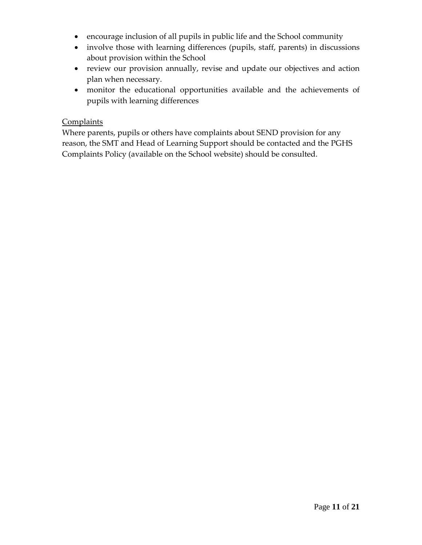- encourage inclusion of all pupils in public life and the School community
- involve those with learning differences (pupils, staff, parents) in discussions about provision within the School
- review our provision annually, revise and update our objectives and action plan when necessary.
- monitor the educational opportunities available and the achievements of pupils with learning differences

#### **Complaints**

Where parents, pupils or others have complaints about SEND provision for any reason, the SMT and Head of Learning Support should be contacted and the PGHS Complaints Policy (available on the School website) should be consulted.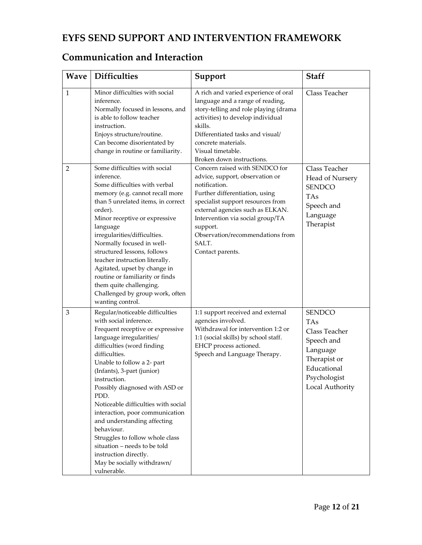### **EYFS SEND SUPPORT AND INTERVENTION FRAMEWORK**

### **Communication and Interaction**

| <b>Wave</b>  | <b>Difficulties</b>                                                                                                                                                                                                                                                                                                                                                                                                                                                                                                                                            | Support                                                                                                                                                                                                                                                                                                        | <b>Staff</b>                                                                                                                             |
|--------------|----------------------------------------------------------------------------------------------------------------------------------------------------------------------------------------------------------------------------------------------------------------------------------------------------------------------------------------------------------------------------------------------------------------------------------------------------------------------------------------------------------------------------------------------------------------|----------------------------------------------------------------------------------------------------------------------------------------------------------------------------------------------------------------------------------------------------------------------------------------------------------------|------------------------------------------------------------------------------------------------------------------------------------------|
| $\mathbf{1}$ | Minor difficulties with social<br>inference.<br>Normally focused in lessons, and<br>is able to follow teacher<br>instruction.<br>Enjoys structure/routine.<br>Can become disorientated by<br>change in routine or familiarity.                                                                                                                                                                                                                                                                                                                                 | A rich and varied experience of oral<br>language and a range of reading,<br>story-telling and role playing (drama<br>activities) to develop individual<br>skills.<br>Differentiated tasks and visual/<br>concrete materials.<br>Visual timetable.<br>Broken down instructions.                                 | Class Teacher                                                                                                                            |
| 2            | Some difficulties with social<br>inference.<br>Some difficulties with verbal<br>memory (e.g. cannot recall more<br>than 5 unrelated items, in correct<br>order).<br>Minor receptive or expressive<br>language<br>irregularities/difficulties.<br>Normally focused in well-<br>structured lessons, follows<br>teacher instruction literally.<br>Agitated, upset by change in<br>routine or familiarity or finds<br>them quite challenging.<br>Challenged by group work, often<br>wanting control.                                                               | Concern raised with SENDCO for<br>advice, support, observation or<br>notification.<br>Further differentiation, using<br>specialist support resources from<br>external agencies such as ELKAN.<br>Intervention via social group/TA<br>support.<br>Observation/recommendations from<br>SALT.<br>Contact parents. | Class Teacher<br>Head of Nursery<br><b>SENDCO</b><br><b>TAs</b><br>Speech and<br>Language<br>Therapist                                   |
| 3            | Regular/noticeable difficulties<br>with social inference.<br>Frequent receptive or expressive<br>language irregularities/<br>difficulties (word finding<br>difficulties.<br>Unable to follow a 2- part<br>(Infants), 3-part (junior)<br>instruction.<br>Possibly diagnosed with ASD or<br>PDD.<br>Noticeable difficulties with social<br>interaction, poor communication<br>and understanding affecting<br>behaviour.<br>Struggles to follow whole class<br>situation - needs to be told<br>instruction directly.<br>May be socially withdrawn/<br>vulnerable. | 1:1 support received and external<br>agencies involved.<br>Withdrawal for intervention 1:2 or<br>1:1 (social skills) by school staff.<br>EHCP process actioned.<br>Speech and Language Therapy.                                                                                                                | <b>SENDCO</b><br><b>TAs</b><br>Class Teacher<br>Speech and<br>Language<br>Therapist or<br>Educational<br>Psychologist<br>Local Authority |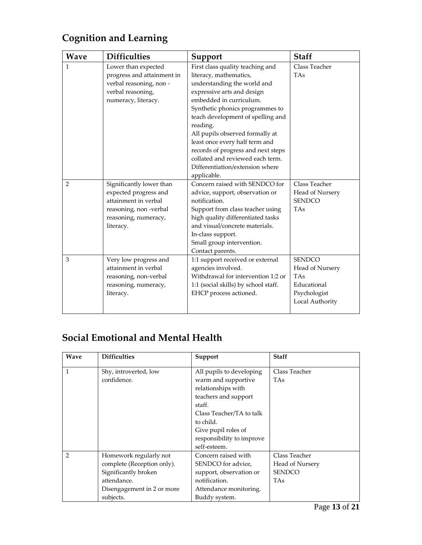| Wave | <b>Difficulties</b>                                                                                                                     | Support                                                                                                                                                                                                                                                                                                                                                                                                                                 | <b>Staff</b>                                                                                     |
|------|-----------------------------------------------------------------------------------------------------------------------------------------|-----------------------------------------------------------------------------------------------------------------------------------------------------------------------------------------------------------------------------------------------------------------------------------------------------------------------------------------------------------------------------------------------------------------------------------------|--------------------------------------------------------------------------------------------------|
| 1    | Lower than expected<br>progress and attainment in<br>verbal reasoning, non -<br>verbal reasoning,<br>numeracy, literacy.                | First class quality teaching and<br>literacy, mathematics,<br>understanding the world and<br>expressive arts and design<br>embedded in curriculum.<br>Synthetic phonics programmes to<br>teach development of spelling and<br>reading.<br>All pupils observed formally at<br>least once every half term and<br>records of progress and next steps<br>collated and reviewed each term.<br>Differentiation/extension where<br>applicable. | Class Teacher<br><b>TAs</b>                                                                      |
| 2    | Significantly lower than<br>expected progress and<br>attainment in verbal<br>reasoning, non-verbal<br>reasoning, numeracy,<br>literacy. | Concern raised with SENDCO for<br>advice, support, observation or<br>notification.<br>Support from class teacher using<br>high quality differentiated tasks<br>and visual/concrete materials.<br>In-class support.<br>Small group intervention.<br>Contact parents.                                                                                                                                                                     | Class Teacher<br>Head of Nursery<br><b>SENDCO</b><br><b>TAs</b>                                  |
| 3    | Very low progress and<br>attainment in verbal<br>reasoning, non-verbal<br>reasoning, numeracy,<br>literacy.                             | 1:1 support received or external<br>agencies involved.<br>Withdrawal for intervention 1:2 or<br>1:1 (social skills) by school staff.<br>EHCP process actioned.                                                                                                                                                                                                                                                                          | <b>SENDCO</b><br>Head of Nursery<br><b>TAs</b><br>Educational<br>Psychologist<br>Local Authority |

# **Cognition and Learning**

## **Social Emotional and Mental Health**

| <b>Wave</b>    | <b>Difficulties</b>                                                                                                                    | Support                                                                                                                                                                                                              | <b>Staff</b>                                                    |
|----------------|----------------------------------------------------------------------------------------------------------------------------------------|----------------------------------------------------------------------------------------------------------------------------------------------------------------------------------------------------------------------|-----------------------------------------------------------------|
| 1              | Shy, introverted, low<br>confidence.                                                                                                   | All pupils to developing<br>warm and supportive<br>relationships with<br>teachers and support<br>staff.<br>Class Teacher/TA to talk<br>to child.<br>Give pupil roles of<br>responsibility to improve<br>self-esteem. | Class Teacher<br><b>TAs</b>                                     |
| $\mathfrak{D}$ | Homework regularly not<br>complete (Reception only).<br>Significantly broken<br>attendance.<br>Disengagement in 2 or more<br>subjects. | Concern raised with<br>SENDCO for advice,<br>support, observation or<br>notification.<br>Attendance monitoring.<br>Buddy system.                                                                                     | Class Teacher<br>Head of Nursery<br><b>SENDCO</b><br><b>TAs</b> |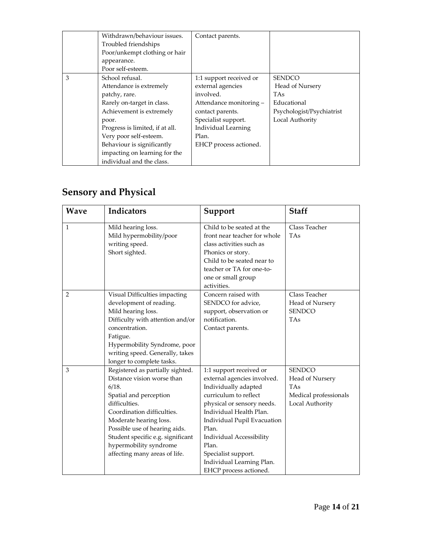|   | Withdrawn/behaviour issues.     | Contact parents.           |                           |
|---|---------------------------------|----------------------------|---------------------------|
|   | Troubled friendships            |                            |                           |
|   | Poor/unkempt clothing or hair   |                            |                           |
|   | appearance.                     |                            |                           |
|   | Poor self-esteem.               |                            |                           |
| 3 | School refusal.                 | 1:1 support received or    | <b>SENDCO</b>             |
|   | Attendance is extremely         | external agencies          | Head of Nursery           |
|   | patchy, rare.                   | involved.                  | <b>TAs</b>                |
|   | Rarely on-target in class.      | Attendance monitoring -    | Educational               |
|   | Achievement is extremely        | contact parents.           | Psychologist/Psychiatrist |
|   | poor.                           | Specialist support.        | Local Authority           |
|   | Progress is limited, if at all. | <b>Individual Learning</b> |                           |
|   | Very poor self-esteem.          | Plan.                      |                           |
|   | Behaviour is significantly      | EHCP process actioned.     |                           |
|   | impacting on learning for the   |                            |                           |
|   | individual and the class.       |                            |                           |

# **Sensory and Physical**

| <b>Wave</b> | Indicators                                                                                                                                                                                                                                                                                                  | Support                                                                                                                                                                                                                                                                                                                     | <b>Staff</b>                                                                               |
|-------------|-------------------------------------------------------------------------------------------------------------------------------------------------------------------------------------------------------------------------------------------------------------------------------------------------------------|-----------------------------------------------------------------------------------------------------------------------------------------------------------------------------------------------------------------------------------------------------------------------------------------------------------------------------|--------------------------------------------------------------------------------------------|
| 1           | Mild hearing loss.<br>Mild hypermobility/poor<br>writing speed.<br>Short sighted.                                                                                                                                                                                                                           | Child to be seated at the<br>front near teacher for whole<br>class activities such as<br>Phonics or story.<br>Child to be seated near to<br>teacher or TA for one-to-<br>one or small group<br>activities.                                                                                                                  | Class Teacher<br><b>TAs</b>                                                                |
| 2           | Visual Difficulties impacting<br>development of reading.<br>Mild hearing loss.<br>Difficulty with attention and/or<br>concentration.<br>Fatigue.<br>Hypermobility Syndrome, poor<br>writing speed. Generally, takes<br>longer to complete tasks.                                                            | Concern raised with<br>SENDCO for advice,<br>support, observation or<br>notification.<br>Contact parents.                                                                                                                                                                                                                   | Class Teacher<br>Head of Nursery<br><b>SENDCO</b><br><b>TAs</b>                            |
| 3           | Registered as partially sighted.<br>Distance vision worse than<br>6/18.<br>Spatial and perception<br>difficulties.<br>Coordination difficulties.<br>Moderate hearing loss.<br>Possible use of hearing aids.<br>Student specific e.g. significant<br>hypermobility syndrome<br>affecting many areas of life. | 1:1 support received or<br>external agencies involved.<br>Individually adapted<br>curriculum to reflect<br>physical or sensory needs.<br>Individual Health Plan.<br>Individual Pupil Evacuation<br>Plan.<br>Individual Accessibility<br>Plan.<br>Specialist support.<br>Individual Learning Plan.<br>EHCP process actioned. | <b>SENDCO</b><br>Head of Nursery<br><b>TAs</b><br>Medical professionals<br>Local Authority |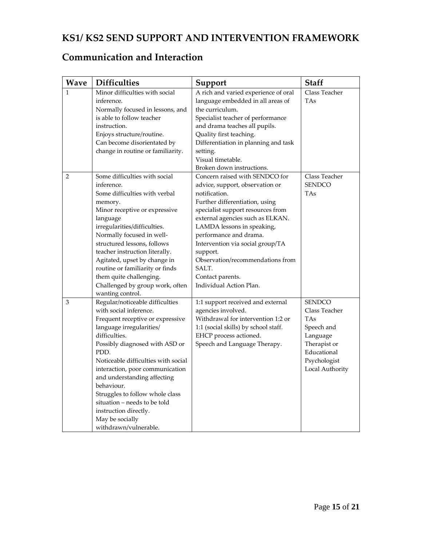### **KS1/ KS2 SEND SUPPORT AND INTERVENTION FRAMEWORK**

### **Communication and Interaction**

| Wave         | <b>Difficulties</b>                 | Support                              | <b>Staff</b>    |
|--------------|-------------------------------------|--------------------------------------|-----------------|
| $\mathbf{1}$ | Minor difficulties with social      | A rich and varied experience of oral | Class Teacher   |
|              | inference.                          | language embedded in all areas of    | <b>TAs</b>      |
|              | Normally focused in lessons, and    | the curriculum.                      |                 |
|              | is able to follow teacher           | Specialist teacher of performance    |                 |
|              | instruction.                        | and drama teaches all pupils.        |                 |
|              | Enjoys structure/routine.           | Quality first teaching.              |                 |
|              | Can become disorientated by         | Differentiation in planning and task |                 |
|              | change in routine or familiarity.   | setting.                             |                 |
|              |                                     | Visual timetable.                    |                 |
|              |                                     | Broken down instructions.            |                 |
| 2            | Some difficulties with social       | Concern raised with SENDCO for       | Class Teacher   |
|              | inference.                          | advice, support, observation or      | <b>SENDCO</b>   |
|              | Some difficulties with verbal       | notification.                        | TAs             |
|              | memory.                             | Further differentiation, using       |                 |
|              | Minor receptive or expressive       | specialist support resources from    |                 |
|              | language                            | external agencies such as ELKAN.     |                 |
|              | irregularities/difficulties.        | LAMDA lessons in speaking,           |                 |
|              | Normally focused in well-           | performance and drama.               |                 |
|              | structured lessons, follows         | Intervention via social group/TA     |                 |
|              | teacher instruction literally.      | support.                             |                 |
|              | Agitated, upset by change in        | Observation/recommendations from     |                 |
|              | routine or familiarity or finds     | SALT.                                |                 |
|              | them quite challenging.             | Contact parents.                     |                 |
|              | Challenged by group work, often     | Individual Action Plan.              |                 |
|              | wanting control.                    |                                      |                 |
| 3            | Regular/noticeable difficulties     | 1:1 support received and external    | <b>SENDCO</b>   |
|              | with social inference.              | agencies involved.                   | Class Teacher   |
|              | Frequent receptive or expressive    | Withdrawal for intervention 1:2 or   | <b>TAs</b>      |
|              | language irregularities/            | 1:1 (social skills) by school staff. | Speech and      |
|              | difficulties.                       | EHCP process actioned.               | Language        |
|              | Possibly diagnosed with ASD or      | Speech and Language Therapy.         | Therapist or    |
|              | PDD.                                |                                      | Educational     |
|              | Noticeable difficulties with social |                                      | Psychologist    |
|              | interaction, poor communication     |                                      | Local Authority |
|              | and understanding affecting         |                                      |                 |
|              | behaviour.                          |                                      |                 |
|              | Struggles to follow whole class     |                                      |                 |
|              | situation – needs to be told        |                                      |                 |
|              | instruction directly.               |                                      |                 |
|              | May be socially                     |                                      |                 |
|              | withdrawn/vulnerable.               |                                      |                 |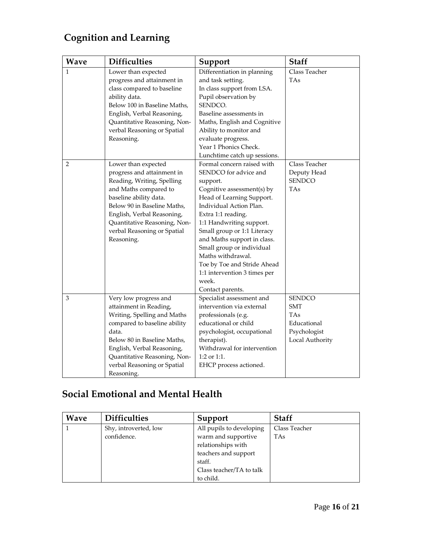# **Cognition and Learning**

| <b>Wave</b> | <b>Difficulties</b>          | Support                      | <b>Staff</b>    |
|-------------|------------------------------|------------------------------|-----------------|
| 1           | Lower than expected          | Differentiation in planning  | Class Teacher   |
|             | progress and attainment in   | and task setting.            | TAs             |
|             | class compared to baseline   | In class support from LSA.   |                 |
|             | ability data.                | Pupil observation by         |                 |
|             | Below 100 in Baseline Maths, | SENDCO.                      |                 |
|             | English, Verbal Reasoning,   | Baseline assessments in      |                 |
|             | Quantitative Reasoning, Non- | Maths, English and Cognitive |                 |
|             | verbal Reasoning or Spatial  | Ability to monitor and       |                 |
|             | Reasoning.                   | evaluate progress.           |                 |
|             |                              | Year 1 Phonics Check.        |                 |
|             |                              | Lunchtime catch up sessions. |                 |
| 2           | Lower than expected          | Formal concern raised with   | Class Teacher   |
|             | progress and attainment in   | SENDCO for advice and        | Deputy Head     |
|             | Reading, Writing, Spelling   | support.                     | <b>SENDCO</b>   |
|             | and Maths compared to        | Cognitive assessment(s) by   | TAs             |
|             | baseline ability data.       | Head of Learning Support.    |                 |
|             | Below 90 in Baseline Maths,  | Individual Action Plan.      |                 |
|             | English, Verbal Reasoning,   | Extra 1:1 reading.           |                 |
|             | Quantitative Reasoning, Non- | 1:1 Handwriting support.     |                 |
|             | verbal Reasoning or Spatial  | Small group or 1:1 Literacy  |                 |
|             | Reasoning.                   | and Maths support in class.  |                 |
|             |                              | Small group or individual    |                 |
|             |                              | Maths withdrawal.            |                 |
|             |                              | Toe by Toe and Stride Ahead  |                 |
|             |                              | 1:1 intervention 3 times per |                 |
|             |                              | week.                        |                 |
|             |                              | Contact parents.             |                 |
| 3           | Very low progress and        | Specialist assessment and    | <b>SENDCO</b>   |
|             | attainment in Reading,       | intervention via external    | <b>SMT</b>      |
|             | Writing, Spelling and Maths  | professionals (e.g.          | TAs             |
|             | compared to baseline ability | educational or child         | Educational     |
|             | data.                        | psychologist, occupational   | Psychologist    |
|             | Below 80 in Baseline Maths,  | therapist).                  | Local Authority |
|             | English, Verbal Reasoning,   | Withdrawal for intervention  |                 |
|             | Quantitative Reasoning, Non- | 1:2 or 1:1.                  |                 |
|             | verbal Reasoning or Spatial  | EHCP process actioned.       |                 |
|             | Reasoning.                   |                              |                 |

# **Social Emotional and Mental Health**

| <b>Wave</b> | <b>Difficulties</b>   | Support                  | <b>Staff</b>  |
|-------------|-----------------------|--------------------------|---------------|
|             | Shy, introverted, low | All pupils to developing | Class Teacher |
|             | confidence.           | warm and supportive      | <b>TAs</b>    |
|             |                       | relationships with       |               |
|             |                       | teachers and support     |               |
|             |                       | staff.                   |               |
|             |                       | Class teacher/TA to talk |               |
|             |                       | to child.                |               |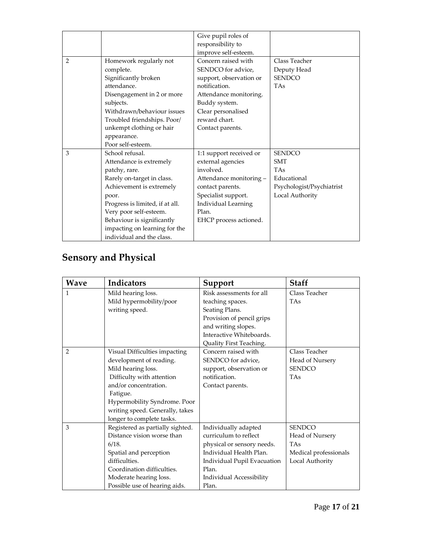|                |                                 | Give pupil roles of     |                           |
|----------------|---------------------------------|-------------------------|---------------------------|
|                |                                 | responsibility to       |                           |
|                |                                 | improve self-esteem.    |                           |
| $\overline{2}$ | Homework regularly not          | Concern raised with     | Class Teacher             |
|                | complete.                       | SENDCO for advice,      | Deputy Head               |
|                | Significantly broken            | support, observation or | <b>SENDCO</b>             |
|                | attendance.                     | notification.           | <b>TAs</b>                |
|                | Disengagement in 2 or more      | Attendance monitoring.  |                           |
|                | subjects.                       | Buddy system.           |                           |
|                | Withdrawn/behaviour issues      | Clear personalised      |                           |
|                | Troubled friendships. Poor/     | reward chart.           |                           |
|                | unkempt clothing or hair        | Contact parents.        |                           |
|                | appearance.                     |                         |                           |
|                | Poor self-esteem.               |                         |                           |
| 3              | School refusal.                 | 1:1 support received or | <b>SENDCO</b>             |
|                | Attendance is extremely         | external agencies       | <b>SMT</b>                |
|                | patchy, rare.                   | involved.               | <b>TAs</b>                |
|                | Rarely on-target in class.      | Attendance monitoring - | Educational               |
|                | Achievement is extremely        | contact parents.        | Psychologist/Psychiatrist |
|                | poor.                           | Specialist support.     | Local Authority           |
|                | Progress is limited, if at all. | Individual Learning     |                           |
|                | Very poor self-esteem.          | Plan.                   |                           |
|                | Behaviour is significantly      | EHCP process actioned.  |                           |
|                | impacting on learning for the   |                         |                           |
|                | individual and the class.       |                         |                           |

# **Sensory and Physical**

| Wave           | <b>Indicators</b>                | Support                     | <b>Staff</b>          |
|----------------|----------------------------------|-----------------------------|-----------------------|
| $\mathbf{1}$   | Mild hearing loss.               | Risk assessments for all    | Class Teacher         |
|                | Mild hypermobility/poor          | teaching spaces.            | <b>TAs</b>            |
|                | writing speed.                   | Seating Plans.              |                       |
|                |                                  | Provision of pencil grips   |                       |
|                |                                  | and writing slopes.         |                       |
|                |                                  | Interactive Whiteboards.    |                       |
|                |                                  | Quality First Teaching.     |                       |
| $\overline{2}$ | Visual Difficulties impacting    | Concern raised with         | Class Teacher         |
|                | development of reading.          | SENDCO for advice,          | Head of Nursery       |
|                | Mild hearing loss.               | support, observation or     | <b>SENDCO</b>         |
|                | Difficulty with attention        | notification.               | <b>TAs</b>            |
|                | and/or concentration.            | Contact parents.            |                       |
|                | Fatigue.                         |                             |                       |
|                | Hypermobility Syndrome. Poor     |                             |                       |
|                | writing speed. Generally, takes  |                             |                       |
|                | longer to complete tasks.        |                             |                       |
| 3              | Registered as partially sighted. | Individually adapted        | <b>SENDCO</b>         |
|                | Distance vision worse than       | curriculum to reflect       | Head of Nursery       |
|                | 6/18.                            | physical or sensory needs.  | <b>TAs</b>            |
|                | Spatial and perception           | Individual Health Plan.     | Medical professionals |
|                | difficulties.                    | Individual Pupil Evacuation | Local Authority       |
|                | Coordination difficulties.       | Plan.                       |                       |
|                | Moderate hearing loss.           | Individual Accessibility    |                       |
|                | Possible use of hearing aids.    | Plan.                       |                       |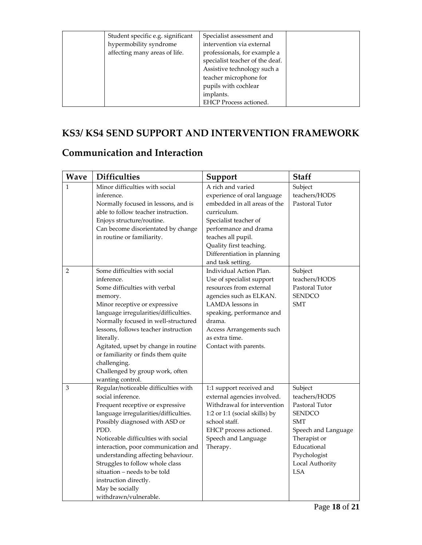| Student specific e.g. significant<br>hypermobility syndrome<br>affecting many areas of life. | Specialist assessment and<br>intervention via external<br>professionals, for example a<br>specialist teacher of the deaf. |  |
|----------------------------------------------------------------------------------------------|---------------------------------------------------------------------------------------------------------------------------|--|
|                                                                                              | Assistive technology such a                                                                                               |  |
|                                                                                              | teacher microphone for                                                                                                    |  |
|                                                                                              | pupils with cochlear                                                                                                      |  |
|                                                                                              | implants.                                                                                                                 |  |
|                                                                                              | <b>EHCP</b> Process actioned.                                                                                             |  |

### **KS3/ KS4 SEND SUPPORT AND INTERVENTION FRAMEWORK**

## **Communication and Interaction**

| <b>Wave</b>    | <b>Difficulties</b>                                                                                                                                                                                                                                                                                                                                                                                                                          | Support                                                                                                                                                                                                                                                | <b>Staff</b>                                                                                                                                                                     |
|----------------|----------------------------------------------------------------------------------------------------------------------------------------------------------------------------------------------------------------------------------------------------------------------------------------------------------------------------------------------------------------------------------------------------------------------------------------------|--------------------------------------------------------------------------------------------------------------------------------------------------------------------------------------------------------------------------------------------------------|----------------------------------------------------------------------------------------------------------------------------------------------------------------------------------|
| $\mathbf{1}$   | Minor difficulties with social<br>inference.<br>Normally focused in lessons, and is<br>able to follow teacher instruction.<br>Enjoys structure/routine.<br>Can become disorientated by change<br>in routine or familiarity.                                                                                                                                                                                                                  | A rich and varied<br>experience of oral language<br>embedded in all areas of the<br>curriculum.<br>Specialist teacher of<br>performance and drama<br>teaches all pupil.<br>Quality first teaching.<br>Differentiation in planning<br>and task setting. | Subject<br>teachers/HODS<br>Pastoral Tutor                                                                                                                                       |
| $\overline{2}$ | Some difficulties with social<br>inference.<br>Some difficulties with verbal<br>memory.<br>Minor receptive or expressive<br>language irregularities/difficulties.<br>Normally focused in well-structured<br>lessons, follows teacher instruction<br>literally.<br>Agitated, upset by change in routine<br>or familiarity or finds them quite<br>challenging.<br>Challenged by group work, often<br>wanting control.                          | Individual Action Plan.<br>Use of specialist support<br>resources from external<br>agencies such as ELKAN.<br>LAMDA lessons in<br>speaking, performance and<br>drama.<br>Access Arrangements such<br>as extra time.<br>Contact with parents.           | Subject<br>teachers/HODS<br>Pastoral Tutor<br><b>SENDCO</b><br>SMT                                                                                                               |
| 3              | Regular/noticeable difficulties with<br>social inference.<br>Frequent receptive or expressive<br>language irregularities/difficulties.<br>Possibly diagnosed with ASD or<br>PDD.<br>Noticeable difficulties with social<br>interaction, poor communication and<br>understanding affecting behaviour.<br>Struggles to follow whole class<br>situation - needs to be told<br>instruction directly.<br>May be socially<br>withdrawn/vulnerable. | 1:1 support received and<br>external agencies involved.<br>Withdrawal for intervention<br>1:2 or 1:1 (social skills) by<br>school staff.<br>EHCP process actioned.<br>Speech and Language<br>Therapy.                                                  | Subject<br>teachers/HODS<br>Pastoral Tutor<br><b>SENDCO</b><br><b>SMT</b><br>Speech and Language<br>Therapist or<br>Educational<br>Psychologist<br>Local Authority<br><b>LSA</b> |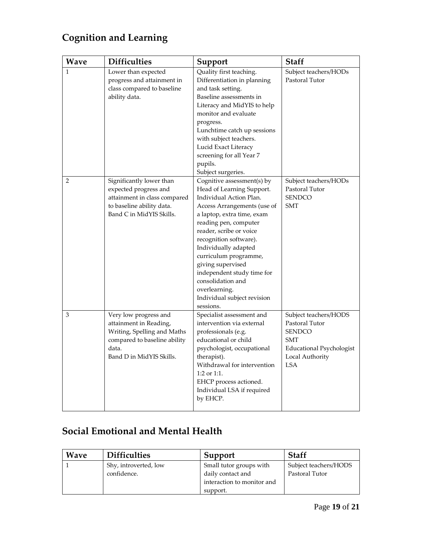# **Cognition and Learning**

| <b>Wave</b>    | <b>Difficulties</b>                                                                                                                                 | Support                                                                                                                                                                                                                                                                                                                                                                                                             | Staff                                                                                                                                      |
|----------------|-----------------------------------------------------------------------------------------------------------------------------------------------------|---------------------------------------------------------------------------------------------------------------------------------------------------------------------------------------------------------------------------------------------------------------------------------------------------------------------------------------------------------------------------------------------------------------------|--------------------------------------------------------------------------------------------------------------------------------------------|
| 1              | Lower than expected<br>progress and attainment in<br>class compared to baseline<br>ability data.                                                    | Quality first teaching.<br>Differentiation in planning<br>and task setting.<br>Baseline assessments in<br>Literacy and MidYIS to help<br>monitor and evaluate<br>progress.<br>Lunchtime catch up sessions<br>with subject teachers.<br>Lucid Exact Literacy<br>screening for all Year 7<br>pupils.<br>Subject surgeries.                                                                                            | Subject teachers/HODs<br>Pastoral Tutor                                                                                                    |
| $\overline{2}$ | Significantly lower than<br>expected progress and<br>attainment in class compared<br>to baseline ability data.<br>Band C in MidYIS Skills.          | Cognitive assessment(s) by<br>Head of Learning Support.<br>Individual Action Plan.<br>Access Arrangements (use of<br>a laptop, extra time, exam<br>reading pen, computer<br>reader, scribe or voice<br>recognition software).<br>Individually adapted<br>curriculum programme,<br>giving supervised<br>independent study time for<br>consolidation and<br>overlearning.<br>Individual subject revision<br>sessions. | Subject teachers/HODs<br>Pastoral Tutor<br><b>SENDCO</b><br><b>SMT</b>                                                                     |
| 3              | Very low progress and<br>attainment in Reading,<br>Writing, Spelling and Maths<br>compared to baseline ability<br>data.<br>Band D in MidYIS Skills. | Specialist assessment and<br>intervention via external<br>professionals (e.g.<br>educational or child<br>psychologist, occupational<br>therapist).<br>Withdrawal for intervention<br>1:2 or 1:1.<br>EHCP process actioned.<br>Individual LSA if required<br>by EHCP.                                                                                                                                                | Subject teachers/HODS<br>Pastoral Tutor<br><b>SENDCO</b><br><b>SMT</b><br><b>Educational Psychologist</b><br>Local Authority<br><b>LSA</b> |

# **Social Emotional and Mental Health**

| <b>Wave</b> | <b>Difficulties</b>   | Support                    | <b>Staff</b>          |
|-------------|-----------------------|----------------------------|-----------------------|
|             | Shy, introverted, low | Small tutor groups with    | Subject teachers/HODS |
|             | confidence.           | daily contact and          | Pastoral Tutor        |
|             |                       | interaction to monitor and |                       |
|             |                       | support.                   |                       |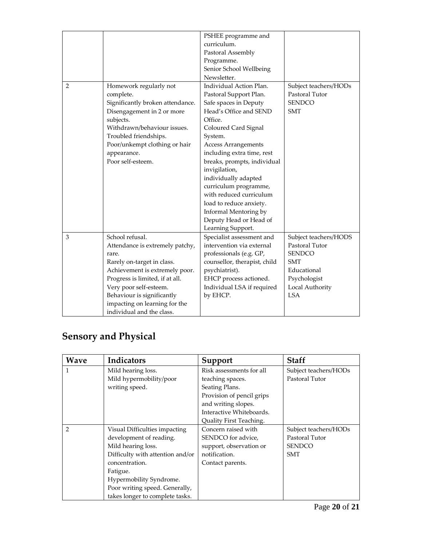|   |                                  | PSHEE programme and          |                       |
|---|----------------------------------|------------------------------|-----------------------|
|   |                                  | curriculum.                  |                       |
|   |                                  | Pastoral Assembly            |                       |
|   |                                  | Programme.                   |                       |
|   |                                  | Senior School Wellbeing      |                       |
|   |                                  | Newsletter.                  |                       |
| 2 | Homework regularly not           | Individual Action Plan.      | Subject teachers/HODs |
|   | complete.                        | Pastoral Support Plan.       | Pastoral Tutor        |
|   | Significantly broken attendance. | Safe spaces in Deputy        | <b>SENDCO</b>         |
|   | Disengagement in 2 or more       | Head's Office and SEND       | <b>SMT</b>            |
|   | subjects.                        | Office.                      |                       |
|   | Withdrawn/behaviour issues.      | Coloured Card Signal         |                       |
|   | Troubled friendships.            | System.                      |                       |
|   | Poor/unkempt clothing or hair    | Access Arrangements          |                       |
|   | appearance.                      | including extra time, rest   |                       |
|   | Poor self-esteem.                | breaks, prompts, individual  |                       |
|   |                                  | invigilation,                |                       |
|   |                                  | individually adapted         |                       |
|   |                                  | curriculum programme,        |                       |
|   |                                  | with reduced curriculum      |                       |
|   |                                  | load to reduce anxiety.      |                       |
|   |                                  | Informal Mentoring by        |                       |
|   |                                  | Deputy Head or Head of       |                       |
|   |                                  | Learning Support.            |                       |
| 3 | School refusal.                  | Specialist assessment and    | Subject teachers/HODS |
|   | Attendance is extremely patchy,  | intervention via external    | Pastoral Tutor        |
|   | rare.                            | professionals (e.g. GP,      | <b>SENDCO</b>         |
|   | Rarely on-target in class.       | counsellor, therapist, child | <b>SMT</b>            |
|   | Achievement is extremely poor.   | psychiatrist).               | Educational           |
|   | Progress is limited, if at all.  | EHCP process actioned.       | Psychologist          |
|   | Very poor self-esteem.           | Individual LSA if required   | Local Authority       |
|   | Behaviour is significantly       | by EHCP.                     | <b>LSA</b>            |
|   | impacting on learning for the    |                              |                       |
|   | individual and the class.        |                              |                       |

## **Sensory and Physical**

| <b>Wave</b> | Indicators                       | Support                   | <b>Staff</b>          |
|-------------|----------------------------------|---------------------------|-----------------------|
| 1           | Mild hearing loss.               | Risk assessments for all  | Subject teachers/HODs |
|             | Mild hypermobility/poor          | teaching spaces.          | Pastoral Tutor        |
|             | writing speed.                   | Seating Plans.            |                       |
|             |                                  | Provision of pencil grips |                       |
|             |                                  | and writing slopes.       |                       |
|             |                                  | Interactive Whiteboards.  |                       |
|             |                                  | Quality First Teaching.   |                       |
| 2           | Visual Difficulties impacting    | Concern raised with       | Subject teachers/HODs |
|             | development of reading.          | SENDCO for advice,        | Pastoral Tutor        |
|             | Mild hearing loss.               | support, observation or   | <b>SENDCO</b>         |
|             | Difficulty with attention and/or | notification.             | <b>SMT</b>            |
|             | concentration.                   | Contact parents.          |                       |
|             | Fatigue.                         |                           |                       |
|             | Hypermobility Syndrome.          |                           |                       |
|             | Poor writing speed. Generally,   |                           |                       |
|             | takes longer to complete tasks.  |                           |                       |